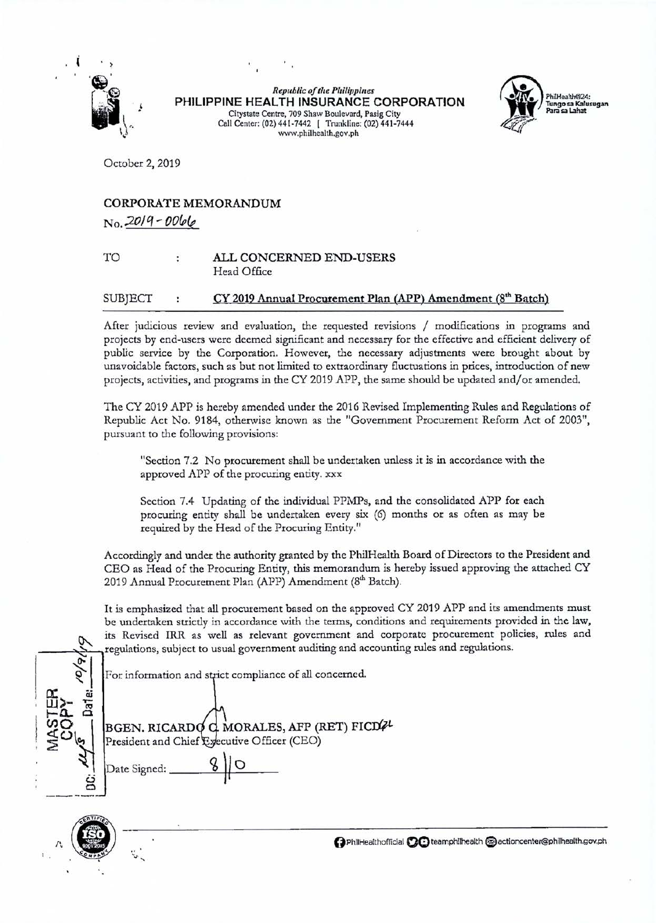

*Republic of the Philippines*  **PHILIPPINE HEALTH INSURANCE CORPORATION**  Citystate Centre, 709 Shaw Boulevard, Pasig City Call Center: (02) 441-7442 ! Trunkline: (02) 441-7444 www.phi1health.gov.ph



October 2, 2019

## CORPORATE MEMORANDUM *No .* .201q- OO&fe

## TO ALL CONCERNED END-USERS Head Office

## $SUB|ECT$  :  $CY 2019$  Annual Procurement Plan (APP) Amendment ( $8<sup>th</sup>$  Batch)

After judicious review and evaluation, the requested revisions / modifications in programs and projects by end-users were deemed significant and necessary for the effective and efficient delivery of public service by the Corporation. However, the necessary adjustments were brought about by unavoidable factors, such as but not limited to extraordinary fluctuations in prices, introduction of new projects, activities, and programs in the CY 2019 APP, the same should be updated and/or amended.

The CY 2019 APP is hereby amended under the 2016 Revised Implementing Rules and Regulations of Republic Act No. 9184, otherwise known as the "Government Procurement Reform Act of 2003", pursuant to the following provisions:

"Section 7.2 No procurement shall be undertaken unless it is in accordance with the approved APP of the procuring entity. xxx

Section 7.4 Updating of the individual PPMPs, and the consolidated APP for each procuring entity shall be undertaken every six (6) months or as often as may be required by the Head of the Procuring Entity."

Accordingly and under the authority granted by the PhilHealth Board of Directors to the President and CEO as Head of the Procuring Entity, this memorandum is hereby issued approving the attached CY 2019 Annual Procurement Plan (APP) Amendment (8<sup>th</sup> Batch).

It is emphasized that all procurement based on the approved CY 2019 APP and its amendments must be undertaken strictly in accordance with the terms, conditions and requirements provided in the law, tis Revised IRR as well as relevant government and corporate procurement policies, rules and regulations, subject to usual government auditing and accounting rules and regulations.

For information and strict compliance of all concerned.

 $\sqrt{\frac{\rho}{\rho}}$ I a: cu ' **UJ** :>- ";Q **t-a.. Cl**   $\frac{1}{2}$  Date Signed:  $\frac{8}{10}$ 

BGEN. RICARD  $\sum_{i}$  President and Chief Executive Officer (CEO) G MORALES, AFP (RET) FICDZ



*!\,* () PhiiHealthofficlal **QO** teamphllhealth e actioncenter@phllhealth.gov.ph